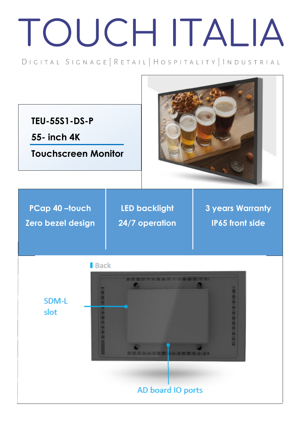## TOUCH ITALIA

DIGITAL SIGNAGE | RETAIL | HOSPITALITY | INDUSTRIAL